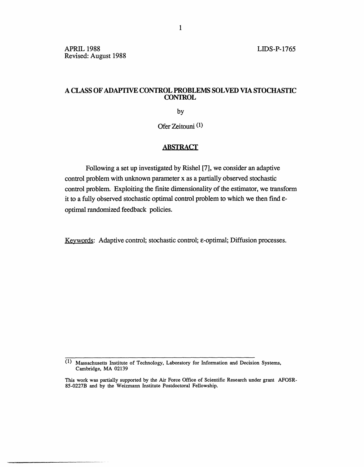# A CLASS **OF ADAPTIVE CONTROL PROBLEMS SOLVED VIA STOCHASTIC CONTROL**

by

Ofer Zeitouni (1)

## **ABSTRACT**

Following a set up investigated by Rishel [7], we consider an adaptive control problem with unknown parameter x as a partially observed stochastic control problem. Exploiting the finite dimensionality of the estimator, we transform it to a fully observed stochastic optimal control problem to which we then find eoptimal randomized feedback policies.

Keywords: Adaptive control; stochastic control;  $\varepsilon$ -optimal; Diffusion processes.

<sup>(1)</sup> Massachusetts Institute of Technology, Laboratory for Information and Decision Systems, Cambridge, MA 02139

This work was partially supported by the Air Force Office of Scientific Research under grant AFOSR-85-0227B and by the Weizmann Institute Postdoctoral Fellowship.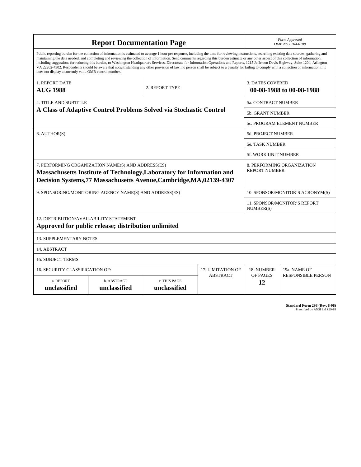| <b>Report Documentation Page</b>                                                                                                                                                                                                                                                                                                                                                                                                                                                                                                                                                                                                                                                                                                                                                                                                                                   |                             |                              |                 | Form Approved<br>OMB No. 0704-0188                  |                           |
|--------------------------------------------------------------------------------------------------------------------------------------------------------------------------------------------------------------------------------------------------------------------------------------------------------------------------------------------------------------------------------------------------------------------------------------------------------------------------------------------------------------------------------------------------------------------------------------------------------------------------------------------------------------------------------------------------------------------------------------------------------------------------------------------------------------------------------------------------------------------|-----------------------------|------------------------------|-----------------|-----------------------------------------------------|---------------------------|
| Public reporting burden for the collection of information is estimated to average 1 hour per response, including the time for reviewing instructions, searching existing data sources, gathering and<br>maintaining the data needed, and completing and reviewing the collection of information. Send comments regarding this burden estimate or any other aspect of this collection of information,<br>including suggestions for reducing this burden, to Washington Headquarters Services, Directorate for Information Operations and Reports, 1215 Jefferson Davis Highway, Suite 1204, Arlington<br>VA 22202-4302. Respondents should be aware that notwithstanding any other provision of law, no person shall be subject to a penalty for failing to comply with a collection of information if it<br>does not display a currently valid OMB control number. |                             |                              |                 |                                                     |                           |
| <b>1. REPORT DATE</b><br><b>AUG 1988</b>                                                                                                                                                                                                                                                                                                                                                                                                                                                                                                                                                                                                                                                                                                                                                                                                                           | 2. REPORT TYPE              |                              |                 | <b>3. DATES COVERED</b><br>00-08-1988 to 00-08-1988 |                           |
| <b>4. TITLE AND SUBTITLE</b><br>A Class of Adaptive Control Problems Solved via Stochastic Control                                                                                                                                                                                                                                                                                                                                                                                                                                                                                                                                                                                                                                                                                                                                                                 |                             |                              |                 | 5a. CONTRACT NUMBER                                 |                           |
|                                                                                                                                                                                                                                                                                                                                                                                                                                                                                                                                                                                                                                                                                                                                                                                                                                                                    |                             |                              |                 | <b>5b. GRANT NUMBER</b>                             |                           |
|                                                                                                                                                                                                                                                                                                                                                                                                                                                                                                                                                                                                                                                                                                                                                                                                                                                                    |                             |                              |                 | 5c. PROGRAM ELEMENT NUMBER                          |                           |
| 6. AUTHOR(S)                                                                                                                                                                                                                                                                                                                                                                                                                                                                                                                                                                                                                                                                                                                                                                                                                                                       |                             |                              |                 | <b>5d. PROJECT NUMBER</b>                           |                           |
|                                                                                                                                                                                                                                                                                                                                                                                                                                                                                                                                                                                                                                                                                                                                                                                                                                                                    |                             |                              |                 | <b>5e. TASK NUMBER</b>                              |                           |
|                                                                                                                                                                                                                                                                                                                                                                                                                                                                                                                                                                                                                                                                                                                                                                                                                                                                    |                             |                              |                 | 5f. WORK UNIT NUMBER                                |                           |
| 7. PERFORMING ORGANIZATION NAME(S) AND ADDRESS(ES)<br>8. PERFORMING ORGANIZATION<br><b>REPORT NUMBER</b><br>Massachusetts Institute of Technology, Laboratory for Information and<br>Decision Systems, 77 Massachusetts Avenue, Cambridge, MA, 02139-4307                                                                                                                                                                                                                                                                                                                                                                                                                                                                                                                                                                                                          |                             |                              |                 |                                                     |                           |
| 9. SPONSORING/MONITORING AGENCY NAME(S) AND ADDRESS(ES)                                                                                                                                                                                                                                                                                                                                                                                                                                                                                                                                                                                                                                                                                                                                                                                                            |                             |                              |                 | 10. SPONSOR/MONITOR'S ACRONYM(S)                    |                           |
|                                                                                                                                                                                                                                                                                                                                                                                                                                                                                                                                                                                                                                                                                                                                                                                                                                                                    |                             |                              |                 | <b>11. SPONSOR/MONITOR'S REPORT</b><br>NUMBER(S)    |                           |
| 12. DISTRIBUTION/AVAILABILITY STATEMENT<br>Approved for public release; distribution unlimited                                                                                                                                                                                                                                                                                                                                                                                                                                                                                                                                                                                                                                                                                                                                                                     |                             |                              |                 |                                                     |                           |
| <b>13. SUPPLEMENTARY NOTES</b>                                                                                                                                                                                                                                                                                                                                                                                                                                                                                                                                                                                                                                                                                                                                                                                                                                     |                             |                              |                 |                                                     |                           |
| 14. ABSTRACT                                                                                                                                                                                                                                                                                                                                                                                                                                                                                                                                                                                                                                                                                                                                                                                                                                                       |                             |                              |                 |                                                     |                           |
| <b>15. SUBJECT TERMS</b>                                                                                                                                                                                                                                                                                                                                                                                                                                                                                                                                                                                                                                                                                                                                                                                                                                           |                             |                              |                 |                                                     |                           |
| 16. SECURITY CLASSIFICATION OF:<br><b>17. LIMITATION OF</b>                                                                                                                                                                                                                                                                                                                                                                                                                                                                                                                                                                                                                                                                                                                                                                                                        |                             |                              |                 | 18. NUMBER                                          | 19a. NAME OF              |
| a. REPORT<br>unclassified                                                                                                                                                                                                                                                                                                                                                                                                                                                                                                                                                                                                                                                                                                                                                                                                                                          | b. ABSTRACT<br>unclassified | c. THIS PAGE<br>unclassified | <b>ABSTRACT</b> | OF PAGES<br>12                                      | <b>RESPONSIBLE PERSON</b> |

**Standard Form 298 (Rev. 8-98)**<br>Prescribed by ANSI Std Z39-18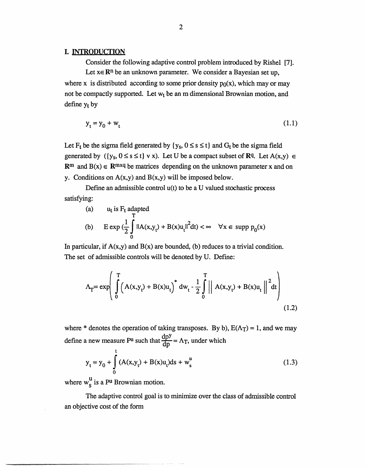#### I. INTRODUCTION

Consider the following adaptive control problem introduced by Rishel [7]. Let  $x \in \mathbb{R}^n$  be an unknown parameter. We consider a Bayesian set up, where x is distributed according to some prior density  $p_0(x)$ , which may or may not be compactly supported. Let  $w_t$  be an m dimensional Brownian motion, and define  $y_t$  by

$$
y_t = y_0 + w_t \tag{1.1}
$$

Let F<sub>t</sub> be the sigma field generated by  $\{y_s, 0 \le s \le t\}$  and  $G_t$  be the sigma field generated by  $({y_s, 0 \le s \le t} \vee x)$ . Let U be a compact subset of Rq. Let  $A(x,y) \in$  $\mathbb{R}^m$  and  $B(x) \in \mathbb{R}^{m \times q}$  be matrices depending on the unknown parameter x and on y. Conditions on  $A(x,y)$  and  $B(x,y)$  will be imposed below.

Define an admissible control  $u(t)$  to be a U valued stochastic process satisfying:

(a) 
$$
u_t
$$
 is  $F_t$  adapted  
\n(b)  $E \exp\left(\frac{1}{2}\int_0^t \|A(x,y_t) + B(x)u_t\|^2 dt\right) < \infty \quad \forall x \in \text{supp } p_0(x)$ 

In particular, if  $A(x,y)$  and  $B(x)$  are bounded, (b) reduces to a trivial condition. The set of admissible controls will be denoted by U. Define:

$$
\Lambda_{T} = \exp\left(\int_{0}^{T} \left(A(x, y_{t}) + B(x)u_{t}\right)^{*} dw_{t} - \frac{1}{2} \int_{0}^{T} \left|\left(A(x, y_{t}) + B(x)u_{t}\right)\right|^{2} dt\right)
$$
(1.2)

where \* denotes the operation of taking transposes. By b),  $E(\Lambda_T) = 1$ , and we may define a new measure P<sup>u</sup> such that  $\frac{dpy}{dp} = \Lambda_T$ , under which

$$
y_{t} = y_{0} + \int_{0}^{t} (A(x, y_{t}) + B(x)u_{t}) ds + w_{s}^{u}
$$
 (1.3)

where  $w_S^u$  is a P<sup>u</sup> Brownian motion.

The adaptive control goal is to minimize over the class of admissible control an objective cost of the form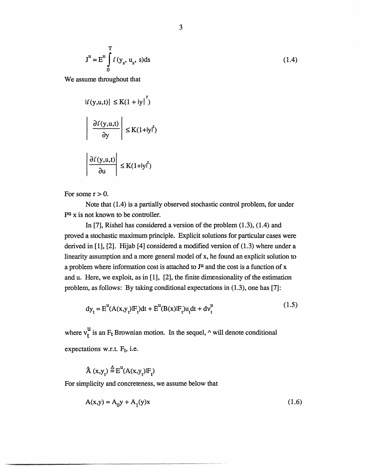$$
J^{u} = E^{u} \int_{0}^{T} f(y_{s}, u_{s}, s) ds
$$
 (1.4)

We assume throughout that

$$
|f(y, u, t)| \le K(1 + |y|^r)
$$

$$
\left| \frac{\partial f(y, u, t)}{\partial y} \right| \le K(1 + |y|^r)
$$

$$
\left| \frac{\partial f(y, u, t)}{\partial u} \right| \le K(1 + |y|^r)
$$

For some  $r > 0$ .

Note that (1.4) is a partially observed stochastic control problem, for under pu x is not known to be controller.

In [7], Rishel has considered a version of the problem (1.3), (1.4) and proved a stochastic maximum principle. Explicit solutions for particular cases were derived in [1], [2]. Hijab [4] considered a modified version of (1.3) where under a linearity assumption and a more general model of x, he found an explicit solution to a problem where information cost is attached to J<sup>u</sup> and the cost is a function of x and u. Here, we exploit, as in [1], [2], the finite dimensionality of the estimation problem, as follows: By taking conditional expectations in (1.3), one has [7]:

$$
dy_{t} = E^{u}(A(x,y_{t})|F_{t})dt + E^{u}(B(x)|F_{t})u_{t}dt + dv_{t}^{u}
$$
\n(1.5)

where  $v_t^u$  is an F<sub>t</sub> Brownian motion. In the sequel,  $\wedge$  will denote conditional expectations w.r.t.  $F_t$ , i.e.

$$
\hat{A}(x,y_t) \stackrel{\Delta}{=} E^u(A(x,y_t)|F_t)
$$

For simplicity and concreteness, we assume below that

$$
A(x,y) = A_0 y + A_1(y)x
$$
 (1.6)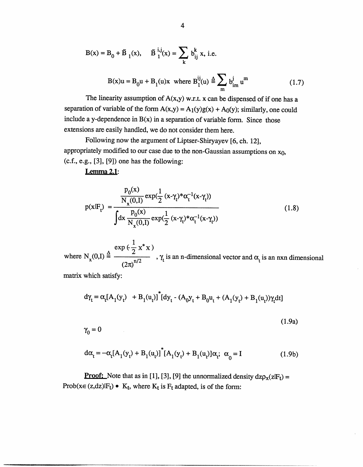$$
B(x) = B_0 + \tilde{B}_1(x), \quad \tilde{B}_1^{i,j}(x) = \sum_k b_{ij}^k x, \text{ i.e.}
$$
  

$$
B(x)u = B_0u + B_1(u)x \text{ where } B_1^{ij}(u) \stackrel{\Delta}{=} \sum_m b_{im}^j u^m
$$
 (1.7)

The linearity assumption of  $A(x,y)$  w.r.t. x can be dispensed of if one has a separation of variable of the form  $A(x,y) = A_1(y)g(x) + A_0(y)$ ; similarly, one could include a y-dependence in  $B(x)$  in a separation of variable form. Since those extensions are easily handled, we do not consider them here.

Following now the argument of Liptser-Shiryayev [6, ch. 12], appropriately modified to our case due to the non-Gaussian assumptions on  $x_0$ ,  $(c.f., e.g., [3], [9])$  one has the following:

### **Lemma 2.1:**

$$
p(x|F_t) = \frac{\frac{p_0(x)}{N_x(0,1)} \exp(\frac{1}{2} (x-\gamma_t) * \alpha_t^{-1}(x-\gamma_t))}{\int dx \frac{p_0(x)}{N_x(0,1)} \exp(\frac{1}{2} (x-\gamma_t) * \alpha_t^{-1}(x-\gamma_t))}
$$
(1.8)

 $\exp\left(\frac{1}{2}x^*x\right)$ where  $N_x(0,1) =$  ...  $\frac{N_t}{2}$  ...  $\gamma_t$  is an n-dimensional vector and  $\alpha_t$  is an nxn dimensional

matrix which satisfy:

$$
d\gamma_t = \alpha_t [A_1(y_t) + B_1(u_t)]^{\dagger} [dy_t - (A_0y_t + B_0u_t + (A_1(y_t) + B_1(u_t))\gamma_t dt]
$$
  
(1.9a)  

$$
\gamma_0 = 0
$$

$$
d\alpha_t = -\alpha_t [A_1(y_t) + B_1(u_t)]^* [A_1(y_t) + B_1(u_t)] \alpha_t; \ \alpha_0 = I
$$
 (1.9b)

**Proof:** Note that as in [1], [3], [9] the unnormalized density  $dz\rho_x(z|F_t) =$ Prob( $x \in (z, dz)$   $F_t$ ) •  $K_t$ , where  $K_t$  is  $F_t$  adapted, is of the form: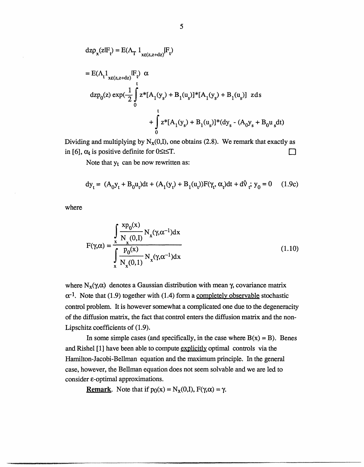$$
dz\rho_{x}(z|F_{t}) = E(\Lambda_{T} 1_{xe(z,z+dz)}|F_{t})
$$
  
\n
$$
= E(\Lambda_{t} 1_{xe(z,z+dz)}|F_{t}) \alpha
$$
  
\n
$$
dzp_{0}(z) exp(-\frac{1}{2} \int_{0}^{t} z^{*}[A_{1}(y_{s}) + B_{1}(u_{s})]^{*}[A_{1}(y_{s}) + B_{1}(u_{s})] z ds + \int_{0}^{t} z^{*}[A_{1}(y_{s}) + B_{1}(u_{s})]^{*}(dy_{s} - (A_{0}y_{s} + B_{0}u_{s}dt)
$$

Dividing and multiplying by  $N_{x}(0,I)$ , one obtains (2.8). We remark that exactly as in [6],  $\alpha_t$  is positive definite for 0 \sts T.  $\Box$ 

Note that  $y_t$  can be now rewritten as:

$$
dy_t = (A_0 y_t + B_0 u_t) dt + (A_1(y_t) + B_1(u_t))F(\gamma_t, \alpha_t) dt + d\hat{v}_t; y_0 = 0 \quad (1.9c)
$$

where

$$
F(\gamma,\alpha) = \frac{\int_{x}^{x} \frac{X P_0(x)}{N_x(0,1)} N_x(\gamma,\alpha^{-1}) dx}{\int_{x}^{x} \frac{P_0(x)}{N_x(0,1)} N_x(\gamma,\alpha^{-1}) dx}
$$
(1.10)

where  $N_x(\gamma,\alpha)$  denotes a Gaussian distribution with mean  $\gamma$ , covariance matrix  $\alpha^{-1}$ . Note that (1.9) together with (1.4) form a completely observable stochastic control problem. It is however somewhat a complicated one due to the degeneracity of the diffusion matrix, the fact that control enters the diffusion matrix and the non-Lipschitz coefficients of (1.9).

In some simple cases (and specifically, in the case where  $B(x) = B$ ). Benes and Rishel [1] have been able to compute explicitly optimal controls via the Hamilton-Jacobi-Bellman equation and the maximum principle. In the general case, however, the Bellman equation does not seem solvable and we are led to consider e-optimal approximations.

**Remark.** Note that if  $p_0(x) = N_x(0,1)$ ,  $F(\gamma, \alpha) = \gamma$ .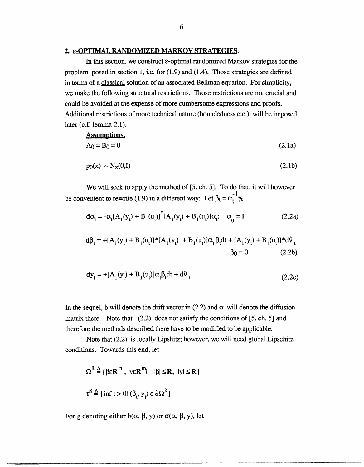### **2.** e-OPTIMAL RANDOMIZED MARKOV STRATEGIES.

In this section, we construct  $\varepsilon$ -optimal randomized Markov strategies for the problem posed in section 1, i.e. for (1.9) and (1.4). Those strategies are defined in terms of a classical solution of an associated Bellman equation. For simplicity, we make the following structural restrictions. Those restrictions are not crucial and could be avoided at the expense of more cumbersome expressions and proofs. Additional restrictions of more technical nature (boundedness etc.) will be imposed later (c.f. lemma 2.1).

Assumptions.  
\n
$$
A_0 = B_0 = 0
$$
\n(2.1a)

$$
p_0(x) \sim N_x(0,I) \tag{2.1b}
$$

We will seek to apply the method of [5, ch. 5]. To do that, it will however be convenient to rewrite (1.9) in a different way: Let  $\beta_t = \alpha_t^{-1} \gamma_t$ 

$$
d\alpha_t = -\alpha_t [A_1(y_t) + B_1(u_t)]^* [A_1(y_t) + B_1(u_t)]\alpha_t; \quad \alpha_0 = I
$$
 (2.2a)

$$
d\beta_t = +[A_1(y_t) + B_1(u_t)]^*[A_1(y_t) + B_1(u_t)]\alpha_t \beta_t dt + [A_1(y_t) + B_1(u_t)]^* d\theta_t
$$
  
 
$$
\beta_0 = 0
$$
 (2.2b)

$$
dy_{t} = +[A_{1}(y_{t}) + B_{1}(u_{t})]\alpha_{t}\beta_{t}dt + d\theta_{t}
$$
\n(2.2c)

In the sequel, b will denote the drift vector in  $(2.2)$  and  $\sigma$  will denote the diffusion matrix there. Note that  $(2.2)$  does not satisfy the conditions of [5, ch. 5] and therefore the methods described there have to be modified to be applicable.

Note that (2.2) is locally Lipshitz; however, we will need global Lipschitz conditions. Towards this end, let

$$
\Omega^{R} \stackrel{\Delta}{=} \{ \beta \varepsilon \mathbf{R}^{n}, y \varepsilon \mathbf{R}^{m} | \quad |\beta| \leq \mathbf{R}, y \leq \mathbf{R} \}
$$
  

$$
\tau^{R} \stackrel{\Delta}{=} \{ \inf t > 0 | (\beta_{t}, y_{t}) \varepsilon \partial \Omega^{R} \}
$$

For g denoting either  $b(\alpha, \beta, y)$  or  $\sigma(\alpha, \beta, y)$ , let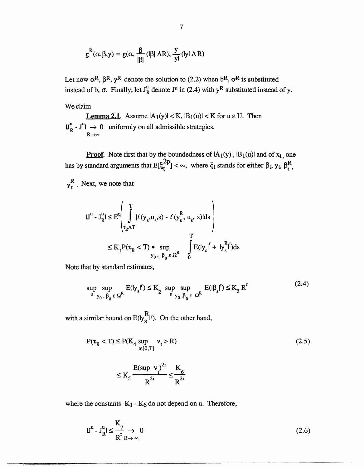$$
g^{R}(\alpha, \beta, y) = g(\alpha, \frac{\beta}{|\beta|} (|\beta| \Lambda R), \frac{y}{|y|} (|y| \Lambda R)
$$

Let now  $\alpha^R$ ,  $\beta^R$ ,  $y^R$  denote the solution to (2.2) when  $b^R$ ,  $\sigma^R$  is substituted instead of b,  $\sigma$ . Finally, let  $J_R^u$  denote  $J^u$  in (2.4) with  $y^R$  substituted instead of y.

We claim

**Lemma 2.1.** Assume  $|A_1(y)| < K$ ,  $|B_1(u)| < K$  for  $u \in U$ . Then  $|J_R^u - J^u| \rightarrow 0$  uniformly on all admissible strategies. **R--**

**Proof.** Note first that by the boundedness of  $|A_1(y)|$ ,  $|B_1(u)|$  and of  $x_t$ , one has by standard arguments that  $E[\xi_t^{2p}] < \infty$ , where  $\xi_t$  stands for either  $\beta_t$ ,  $y_t$ ,  $\beta_t^R$ ,

 $y_t^R$ . Next, we note that

$$
|J^{u} - J^{u}_{R}| \leq E^{u} \left( \int_{\tau_{R}\Lambda T}^{T} |\ell(y_{s}, u_{s}, s) - \ell(y_{s}^{R}, u_{s}, s)| ds \right)
$$
  

$$
\leq K_{1} P(\tau_{R} < T) \bullet \sup_{y_{0}, \beta_{0} \in \Omega^{R}} \int_{0}^{T} E(y_{s} |^{r} + |y_{s}^{R}|^{r}) ds
$$

Note that by standard estimates,

$$
\sup_{s} \sup_{y_0, \beta_0 \in \Omega^R} E(|y_s|^r) \le K_2 \sup_{s} \sup_{y_0, \beta_0 \in \Omega^R} E(|\beta_s|^r) \le K_3 R^r
$$
\n(2.4)

with a similar bound on  $E(y_S^R)^r$ . On the other hand,

$$
P(\tau_R < T) \le P(K_4 \sup_{t \in [0,T]} v_t > R) \tag{2.5}
$$

$$
\leq K_5 \frac{E(\sup \ v_t)^{2r}}{R^{2r}} \leq \frac{K_6}{R^{2r}}
$$

where the constants  $K_1 - K_6$  do not depend on u. Therefore,

$$
|\mathbf{J}^{\mathrm{u}} \cdot \mathbf{J}_{\mathrm{R}}^{\mathrm{u}}| \le \frac{\mathrm{K}_{7}}{\mathrm{R}_{\mathrm{R}}^{\mathrm{r}} \to 0} \tag{2.6}
$$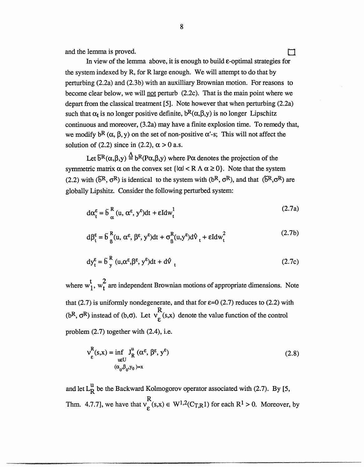and the lemma is proved.  $\Box$ 

In view of the lemma above, it is enough to build  $\varepsilon$ -optimal strategies for the system indexed by R, for R large enough. We will attempt to do that by perturbing (2.2a) and (2.3b) with an auxilliary Brownian motion. For reasons to become clear below, we will not perturb (2.2c). That is the main point where we depart from the classical treatment [5]. Note however that when perturbing (2.2a) such that  $\alpha_t$  is no longer positive definite,  $b^R(\alpha, \beta, y)$  is no longer Lipschitz continuous and moreover, (3.2a) may have a finite explosion time. To remedy that, we modify  $b^R$  ( $\alpha$ ,  $\beta$ ,  $\gamma$ ) on the set of non-positive  $\alpha$ '-s; This will not affect the solution of (2.2) since in (2.2),  $\alpha > 0$  a.s.

Let  $\delta^R(\alpha,\beta,y) \stackrel{\Delta}{=} b^R(P\alpha,\beta,y)$  where P $\alpha$  denotes the projection of the symmetric matrix  $\alpha$  on the convex set  $\{|\alpha| < R \land \alpha \geq 0\}$ . Note that the system (2.2) with ( $\tilde{b}^R$ ,  $\sigma^R$ ) is identical to the system with ( $b^R$ ,  $\sigma^R$ ), and that ( $\tilde{b}^R$ , $\sigma^R$ ) are globally Lipshitz. Consider the following perturbed system:

$$
d\alpha_t^{\varepsilon} = \tilde{b}_{\alpha}^{R} (u, \alpha^{\varepsilon}, y^{\varepsilon}) dt + \varepsilon I dw_t^{1}
$$
 (2.7a)

$$
d\beta_t^{\varepsilon} = \tilde{b}_{\beta}^{R}(u, \alpha^{\varepsilon}, \beta^{\varepsilon}, y^{\varepsilon})dt + \sigma_{\beta}^{R}(u, y^{\varepsilon})d\theta_t + \varepsilon I dw_t^2
$$
 (2.7b)

$$
dy_t^{\varepsilon} = \tilde{b}_y^R (u, \alpha^{\varepsilon}, \beta^{\varepsilon}, y^{\varepsilon}) dt + d\hat{v}_t
$$
 (2.7c)

where  $w_1^t$ ,  $w_t^2$  are independent Brownian motions of appropriate dimensions. Note that (2.7) is uniformly nondegenerate, and that for  $\varepsilon=0$  (2.7) reduces to (2.2) with (bR,  $\sigma^R$ ) instead of (b, $\sigma$ ). Let  $v_g^R(s,x)$  denote the value function of the control problem (2.7) together with (2.4), i.e.

$$
v_{\varepsilon}^{R}(s,x) = \inf_{u \in U} J_{R}^{u} (\alpha^{\varepsilon}, \beta^{\varepsilon}, y^{\varepsilon})
$$
  

$$
(\alpha_{0}, \beta_{0}, y_{0}) = x
$$
 (2.8)

and let  $L_R^u$  be the Backward Kolmogorov operator associated with (2.7). By [5, Thm. 4.7.7], we have that  $v_e^{R}(s,x) \in W^{1,2}(C_{T,R}1)$  for each  $R^1 > 0$ . Moreover, by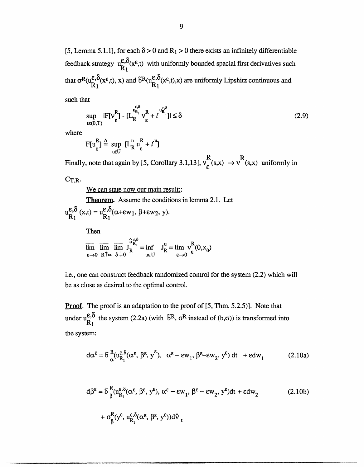[5, Lemma 5.1.1], for each  $\delta > 0$  and  $R_1 > 0$  there exists an infinitely differentiable feedback strategy  $u_{R_1}^{\epsilon,\delta}(x^{\epsilon},t)$  with uniformly bounded spacial first derivatives such that  $\sigma^R(u_{R_1}^{\varepsilon,\delta}(x^{\varepsilon},t), x)$  and  $\tilde{b}^R(u_{R_1}^{\varepsilon,\delta}(x^{\varepsilon},t),x)$  are uniformly Lipshitz continuous and

such that

$$
\sup_{t \in (0,T)} |F[v_{\varepsilon}^{R}] - [L_{R}^{\frac{\varepsilon_{\varepsilon^{0}}}{R_{1}}} v_{\varepsilon}^{R} + t^{\frac{\nu_{\varepsilon}^{\varepsilon^{0}}}{R_{1}}}]| \leq \delta
$$
\n(2.9)

where

$$
F[u_{\varepsilon}^{R}] \stackrel{\Delta}{=} \sup_{u \in U} [L_{R}^{u} u_{\varepsilon}^{R} + t^{u}]
$$

Finally, note that again by [5, Corollary 3.1,13],  $v_{\rm c}$  (s,x)  $\rightarrow$   $v^{*}$  (s,x) uniformly in

 $C_{T,R}$ .

We can state now our main result:

Theorem, Assume the conditions in lemma 2.1. Let  $u_{R_1}^{\varepsilon,\delta}(x,t) = u_{R_1}^{\varepsilon,\delta}(\alpha+\varepsilon w_1, \beta+\varepsilon w_2, y).$ 

Then

$$
\overline{\lim}_{\epsilon \to 0} \overline{\lim}_{R \uparrow \infty} \overline{\lim}_{\delta \downarrow 0} J_R^{\hat{u} \epsilon, \delta} = \inf_{u \in U} J_R^u = \lim_{\epsilon \to 0} v_{\epsilon}^R(0, x_0)
$$

i.e., one can construct feedback randomized control for the system (2.2) which will be as close as desired to the optimal control.

**Proof.** The proof is an adaptation to the proof of [5, Thm. 5.2.5)]. Note that under  $u_{R_1}^{\epsilon,\delta}$  the system (2.2a) (with  $\tilde{b}^R$ ,  $\sigma^R$  instead of (b, $\sigma$ )) is transformed into the system:

$$
d\alpha^{\varepsilon} = \delta^R_{\alpha} (u_{R_1}^{\varepsilon,\delta}(\alpha^{\varepsilon}, \beta^{\varepsilon}, y^{\varepsilon}), \alpha^{\varepsilon} - \varepsilon w_1, \beta^{\varepsilon} - \varepsilon w_2, y^{\varepsilon}) dt + \varepsilon dw_1
$$
 (2.10a)

$$
d\beta^{\varepsilon} = \tilde{b} \, \frac{R}{\beta} (u_{R_1}^{\varepsilon, \delta}(\alpha^{\varepsilon}, \beta^{\varepsilon}, y^{\varepsilon}), \alpha^{\varepsilon} - \varepsilon w_1, \beta^{\varepsilon} - \varepsilon w_2, y^{\varepsilon}) dt + \varepsilon dw_2
$$
\n
$$
+ \sigma_{\beta}^{R} (y^{\varepsilon}, u_{R_1}^{\varepsilon, \delta}(\alpha^{\varepsilon}, \beta^{\varepsilon}, y^{\varepsilon})) d\theta_t
$$
\n(2.10b)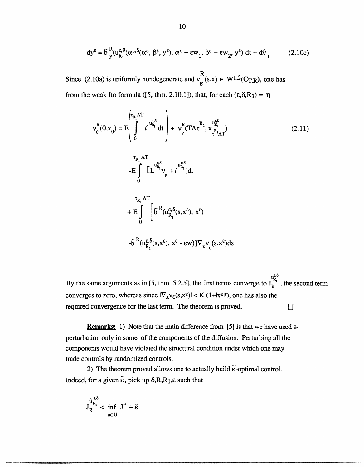$$
dy^{\varepsilon} = \tilde{b} \, \frac{R}{y} (u_{R_1}^{\varepsilon, \delta} (\alpha^{\varepsilon, \delta} (\alpha^{\varepsilon}, \beta^{\varepsilon}, y^{\varepsilon}), \alpha^{\varepsilon} - \varepsilon w_1, \beta^{\varepsilon} - \varepsilon w_2, y^{\varepsilon}) \, dt + d \vartheta_t \tag{2.10c}
$$

Since (2.10a) is uniformly nondegenerate and  $v_c^R(s,x) \in W^{1,2}(C_{T,R})$ , one has from the weak Ito formula ([5, thm. 2.10.1]), that, for each  $(\epsilon, \delta, R_1) = \eta$ 

$$
v_{\varepsilon}^{R}(0,x_{0}) = E\left(\int_{0}^{\tau_{R_{1}}\Lambda T} t^{\frac{u_{\varepsilon}^{\varepsilon,\delta}}{u_{R_{1}}^{\varepsilon}}}\right) + v_{\varepsilon}^{R}(T\Lambda \tau^{R_{1}}, x_{\tau^{R_{1}}\Lambda T}^{u_{\varepsilon}^{\varepsilon,\delta}})
$$
\n
$$
-E\int_{0}^{\tau_{R_{1}}\Lambda T} [L^{u_{\varepsilon}^{\varepsilon,\delta}}v_{\varepsilon} + t^{u_{\varepsilon}^{\varepsilon,\delta}}]dt
$$
\n
$$
+ E\int_{0}^{\tau_{R_{1}}\Lambda T} \left[\tilde{b}^{R}(u_{R_{1}}^{\varepsilon,\delta}(s,x^{\varepsilon}), x^{\varepsilon})\right]
$$
\n
$$
- \tilde{b}^{R}(u_{\varepsilon}^{\varepsilon,\delta}(s,x^{\varepsilon}), x^{\varepsilon} - \varepsilon w)]\nabla_{\mathbf{v}}\mathbf{v}(s,x^{\varepsilon})ds
$$
\n(2.11)

By the same arguments as in [5, thm. 5.2.5], the first terms converge to  $J_R^{E_0^s}$ , the second term converges to zero, whereas since  $|\nabla_x v_\xi(s,x^\xi)| < K (1+|x^\xi|^r)$ , one has also the required convergence for the last term. The theorem is proved. **O**

**Remarks:** 1) Note that the main difference from [5] is that we have used eperturbation only in some of the components of the diffusion. Perturbing all the components would have violated the structural condition under which one may trade controls by randomized controls.

2) The theorem proved allows one to actually build  $\tilde{\epsilon}$ -optimal control. Indeed, for a given  $\tilde{\epsilon}$ , pick up  $\delta$ , R, R<sub>1</sub>,  $\epsilon$  such that

$$
J_R^{\hat{u}_{R_1}^{\epsilon,\delta}} < \inf_{u \in U} J^u + \tilde{\epsilon}
$$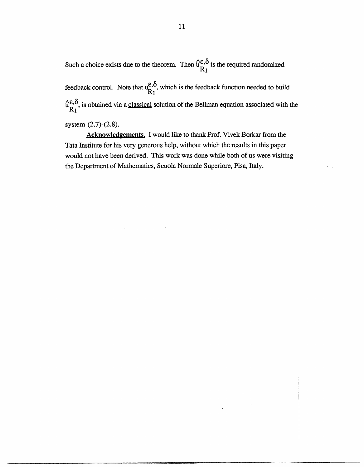Such a choice exists due to the theorem. Then  $\hat{u}^{\epsilon,\delta}_{R_1}$  is the required randomized feedback control. Note that  $u_{R_1}^{\epsilon,\delta}$ , which is the feedback function needed to build  $\hat{u}_{R_1}^{\varepsilon,\delta}$ , is obtained via a classical solution of the Bellman equation associated with the

system (2.7)-(2.8).

Acknowledgements. I would like to thank Prof. Vivek Borkar from the Tata Institute for his very generous help, without which the results in this paper would not have been derived. This work was done while both of us were visiting the Department of Mathematics, Scuola Normale Superiore, Pisa, Italy.